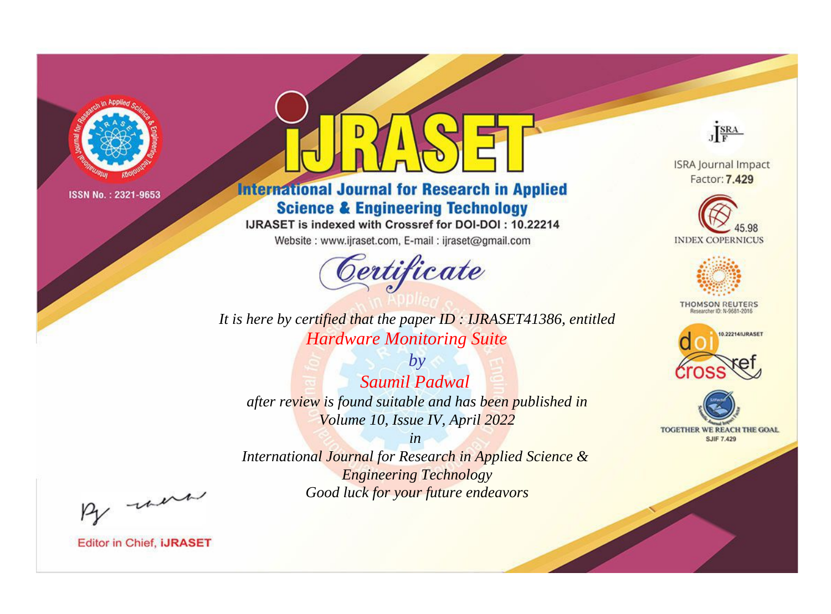

# **International Journal for Research in Applied Science & Engineering Technology**

IJRASET is indexed with Crossref for DOI-DOI: 10.22214

Website: www.ijraset.com, E-mail: ijraset@gmail.com



It is here by certified that the paper ID: IJRASET41386, entitled **Hardware Monitoring Suite** 

 $by$ Saumil Padwal after review is found suitable and has been published in Volume 10, Issue IV, April 2022

 $in$ International Journal for Research in Applied Science & **Engineering Technology** Good luck for your future endeavors



**ISRA Journal Impact** Factor: 7.429





**THOMSON REUTERS** 



TOGETHER WE REACH THE GOAL **SJIF 7.429** 

By morn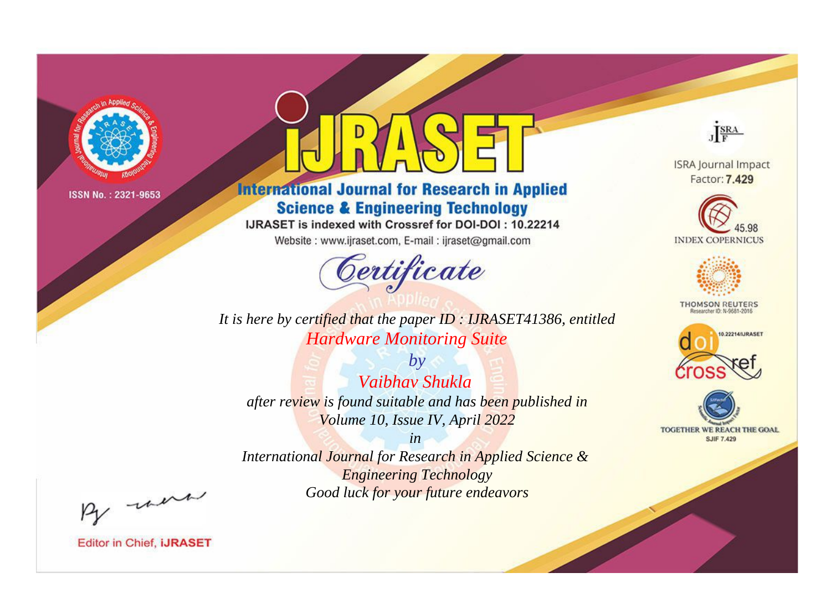

# **International Journal for Research in Applied Science & Engineering Technology**

IJRASET is indexed with Crossref for DOI-DOI: 10.22214

Website: www.ijraset.com, E-mail: ijraset@gmail.com



It is here by certified that the paper ID: IJRASET41386, entitled **Hardware Monitoring Suite** 

 $b\nu$ Vaibhay Shukla after review is found suitable and has been published in Volume 10, Issue IV, April 2022

 $in$ International Journal for Research in Applied Science & **Engineering Technology** Good luck for your future endeavors

By morn

**Editor in Chief, IJRASET** 

**ISRA Journal Impact** Factor: 7.429

JERA





**THOMSON REUTERS** 



TOGETHER WE REACH THE GOAL **SJIF 7.429**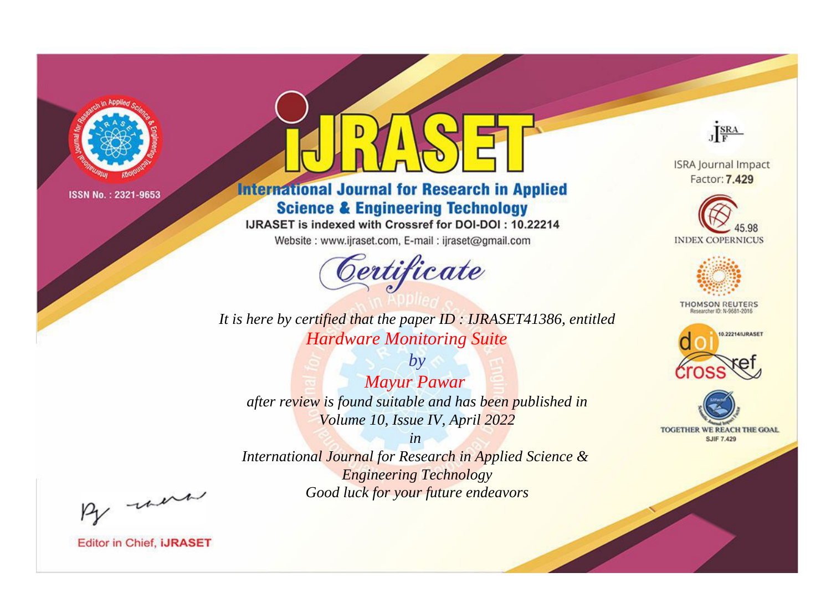

# **International Journal for Research in Applied Science & Engineering Technology**

IJRASET is indexed with Crossref for DOI-DOI: 10.22214

Website: www.ijraset.com, E-mail: ijraset@gmail.com



**ISRA Journal Impact** Factor: 7.429

JERA





**THOMSON REUTERS** 



TOGETHER WE REACH THE GOAL **SJIF 7.429** 

*It is here by certified that the paper ID : IJRASET41386, entitled Hardware Monitoring Suite*

*by Mayur Pawar after review is found suitable and has been published in Volume 10, Issue IV, April 2022*

*in* 

*International Journal for Research in Applied Science & Engineering Technology Good luck for your future endeavors*

By morn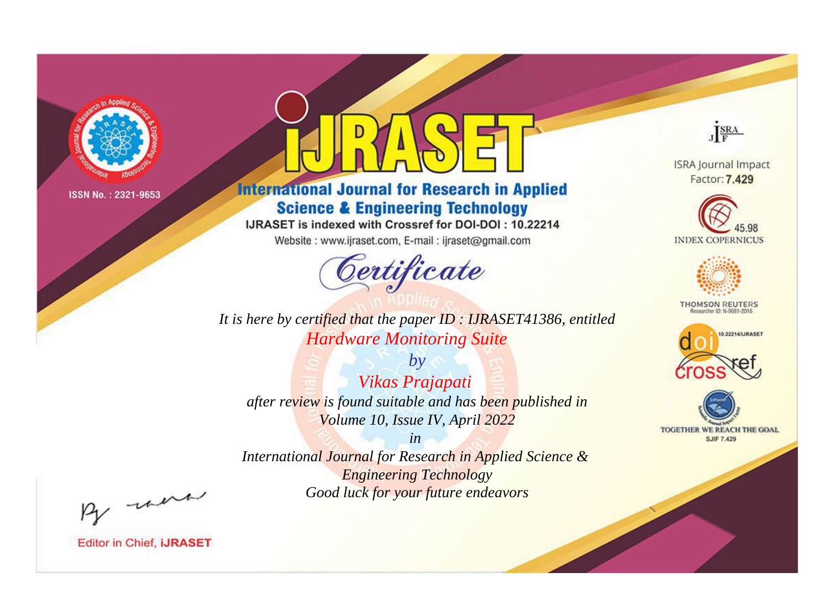

# **International Journal for Research in Applied Science & Engineering Technology**

IJRASET is indexed with Crossref for DOI-DOI: 10.22214

Website: www.ijraset.com, E-mail: ijraset@gmail.com



It is here by certified that the paper ID: IJRASET41386, entitled **Hardware Monitoring Suite** 

 $by$ Vikas Prajapati after review is found suitable and has been published in Volume 10, Issue IV, April 2022

 $in$ International Journal for Research in Applied Science & **Engineering Technology** Good luck for your future endeavors



**ISRA Journal Impact** Factor: 7.429





**THOMSON REUTERS** 



TOGETHER WE REACH THE GOAL **SJIF 7.429** 

By morn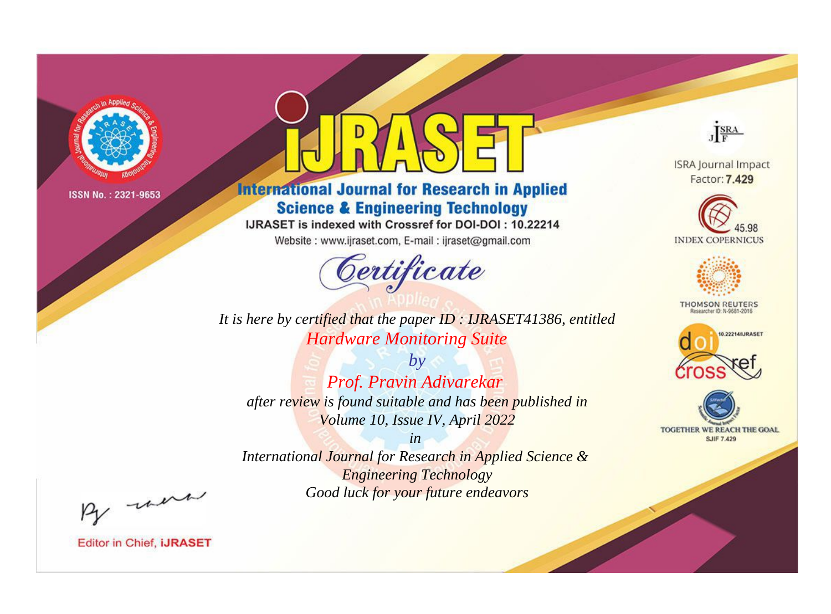

# **International Journal for Research in Applied Science & Engineering Technology**

IJRASET is indexed with Crossref for DOI-DOI: 10.22214

Website: www.ijraset.com, E-mail: ijraset@gmail.com



JERA

**ISRA Journal Impact** Factor: 7.429





**THOMSON REUTERS** 



TOGETHER WE REACH THE GOAL **SJIF 7.429** 

*It is here by certified that the paper ID : IJRASET41386, entitled Hardware Monitoring Suite*

*by Prof. Pravin Adivarekar after review is found suitable and has been published in Volume 10, Issue IV, April 2022*

*in* 

*International Journal for Research in Applied Science & Engineering Technology Good luck for your future endeavors*

By morn